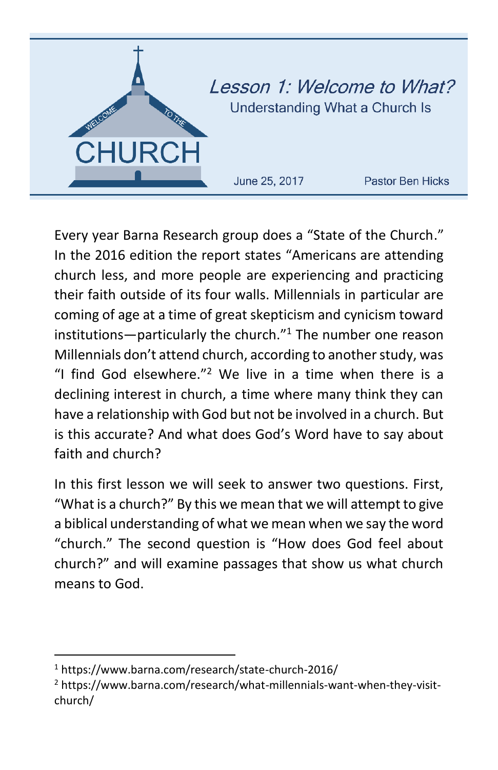

Every year Barna Research group does a "State of the Church." In the 2016 edition the report states "Americans are attending church less, and more people are experiencing and practicing their faith outside of its four walls. Millennials in particular are coming of age at a time of great skepticism and cynicism toward institutions—particularly the church. $"^1$  The number one reason Millennials don't attend church, according to another study, was "I find God elsewhere." $2$  We live in a time when there is a declining interest in church, a time where many think they can have a relationship with God but not be involved in a church. But is this accurate? And what does God's Word have to say about faith and church?

In this first lesson we will seek to answer two questions. First, "What is a church?" By this we mean that we will attempt to give a biblical understanding of what we mean when we say the word "church." The second question is "How does God feel about church?" and will examine passages that show us what church means to God.

 $\overline{\phantom{a}}$ 

<sup>1</sup> https://www.barna.com/research/state-church-2016/

<sup>&</sup>lt;sup>2</sup> https://www.barna.com/research/what-millennials-want-when-thev-visitchurch/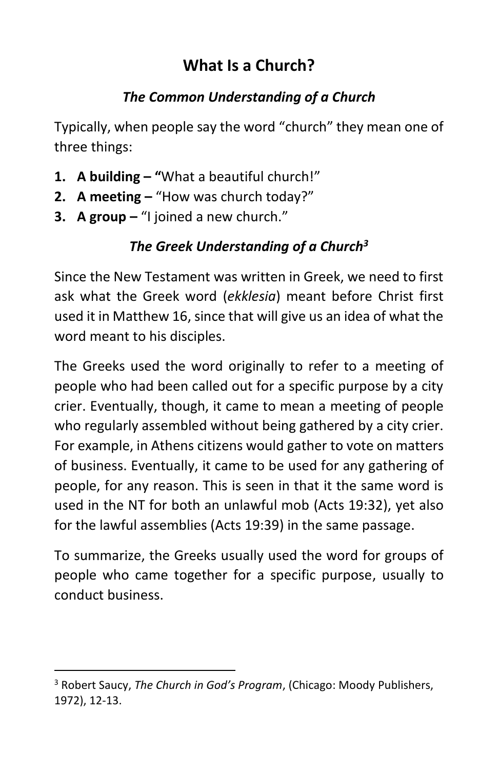# **What Is a Church?**

## *The Common Understanding of a Church*

Typically, when people say the word "church" they mean one of three things:

- **1. A building – "**What a beautiful church!"
- **2. A meeting –** "How was church today?"
- **3. A group –** "I joined a new church."

# *The Greek Understanding of a Church<sup>3</sup>*

Since the New Testament was written in Greek, we need to first ask what the Greek word (*ekklesia*) meant before Christ first used it in Matthew 16, since that will give us an idea of what the word meant to his disciples.

The Greeks used the word originally to refer to a meeting of people who had been called out for a specific purpose by a city crier. Eventually, though, it came to mean a meeting of people who regularly assembled without being gathered by a city crier. For example, in Athens citizens would gather to vote on matters of business. Eventually, it came to be used for any gathering of people, for any reason. This is seen in that it the same word is used in the NT for both an unlawful mob (Acts 19:32), yet also for the lawful assemblies (Acts 19:39) in the same passage.

To summarize, the Greeks usually used the word for groups of people who came together for a specific purpose, usually to conduct business.

 $\overline{\phantom{a}}$ 

<sup>3</sup> Robert Saucy, *The Church in God's Program*, (Chicago: Moody Publishers, 1972), 12-13.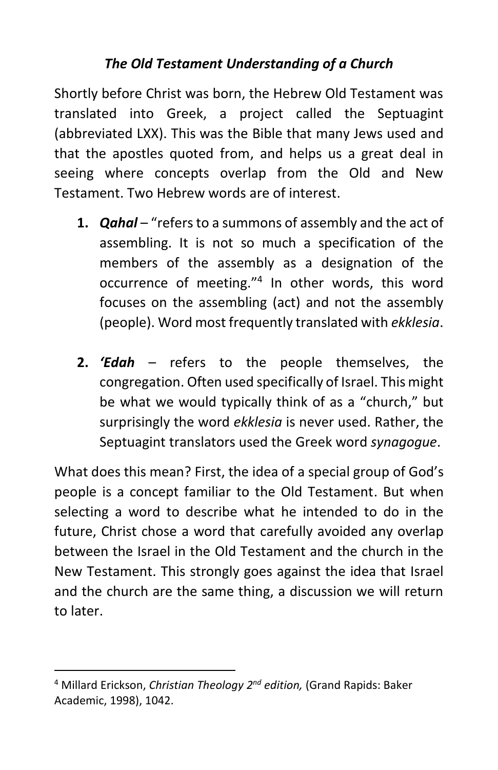#### *The Old Testament Understanding of a Church*

Shortly before Christ was born, the Hebrew Old Testament was translated into Greek, a project called the Septuagint (abbreviated LXX). This was the Bible that many Jews used and that the apostles quoted from, and helps us a great deal in seeing where concepts overlap from the Old and New Testament. Two Hebrew words are of interest.

- **1.** *Qahal* "refers to a summons of assembly and the act of assembling. It is not so much a specification of the members of the assembly as a designation of the occurrence of meeting."<sup>4</sup> In other words, this word focuses on the assembling (act) and not the assembly (people). Word most frequently translated with *ekklesia*.
- **2.** *'Edah* refers to the people themselves, the congregation. Often used specifically of Israel. This might be what we would typically think of as a "church," but surprisingly the word *ekklesia* is never used. Rather, the Septuagint translators used the Greek word *synagogue*.

What does this mean? First, the idea of a special group of God's people is a concept familiar to the Old Testament. But when selecting a word to describe what he intended to do in the future, Christ chose a word that carefully avoided any overlap between the Israel in the Old Testament and the church in the New Testament. This strongly goes against the idea that Israel and the church are the same thing, a discussion we will return to later.

 $\overline{\phantom{a}}$ 

<sup>&</sup>lt;sup>4</sup> Millard Erickson, *Christian Theology 2<sup>nd</sup> edition,* (Grand Rapids: Baker Academic, 1998), 1042.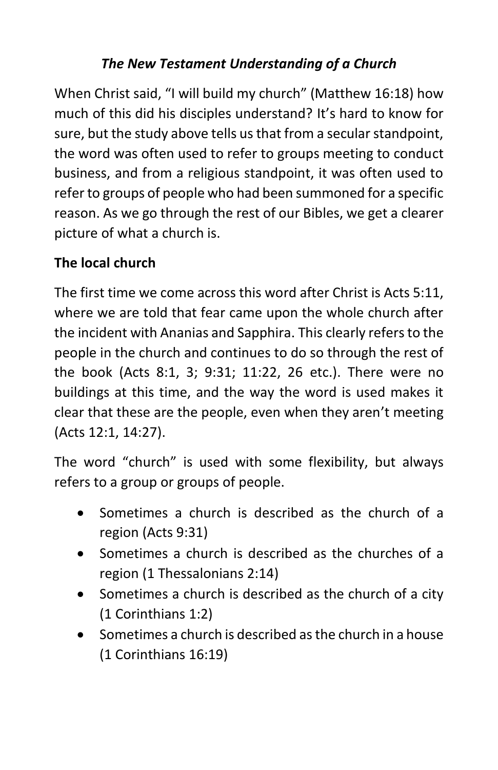## *The New Testament Understanding of a Church*

When Christ said, "I will build my church" (Matthew 16:18) how much of this did his disciples understand? It's hard to know for sure, but the study above tells us that from a secular standpoint, the word was often used to refer to groups meeting to conduct business, and from a religious standpoint, it was often used to refer to groups of people who had been summoned for a specific reason. As we go through the rest of our Bibles, we get a clearer picture of what a church is.

## **The local church**

The first time we come across this word after Christ is Acts 5:11, where we are told that fear came upon the whole church after the incident with Ananias and Sapphira. This clearly refers to the people in the church and continues to do so through the rest of the book (Acts 8:1, 3; 9:31; 11:22, 26 etc.). There were no buildings at this time, and the way the word is used makes it clear that these are the people, even when they aren't meeting (Acts 12:1, 14:27).

The word "church" is used with some flexibility, but always refers to a group or groups of people.

- Sometimes a church is described as the church of a region (Acts 9:31)
- Sometimes a church is described as the churches of a region (1 Thessalonians 2:14)
- Sometimes a church is described as the church of a city (1 Corinthians 1:2)
- Sometimes a church is described as the church in a house (1 Corinthians 16:19)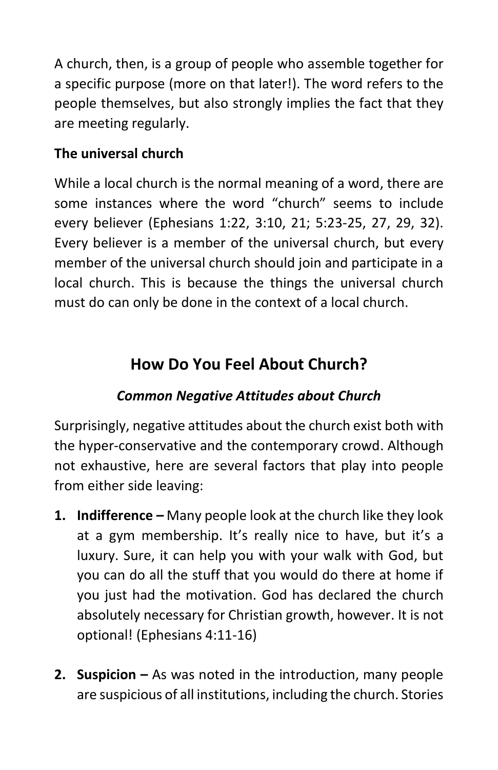A church, then, is a group of people who assemble together for a specific purpose (more on that later!). The word refers to the people themselves, but also strongly implies the fact that they are meeting regularly.

#### **The universal church**

While a local church is the normal meaning of a word, there are some instances where the word "church" seems to include every believer (Ephesians 1:22, 3:10, 21; 5:23-25, 27, 29, 32). Every believer is a member of the universal church, but every member of the universal church should join and participate in a local church. This is because the things the universal church must do can only be done in the context of a local church.

# **How Do You Feel About Church?**

#### *Common Negative Attitudes about Church*

Surprisingly, negative attitudes about the church exist both with the hyper-conservative and the contemporary crowd. Although not exhaustive, here are several factors that play into people from either side leaving:

- **1. Indifference** *–* Many people look at the church like they look at a gym membership. It's really nice to have, but it's a luxury. Sure, it can help you with your walk with God, but you can do all the stuff that you would do there at home if you just had the motivation. God has declared the church absolutely necessary for Christian growth, however. It is not optional! (Ephesians 4:11-16)
- **2. Suspicion –** As was noted in the introduction, many people are suspicious of all institutions, including the church. Stories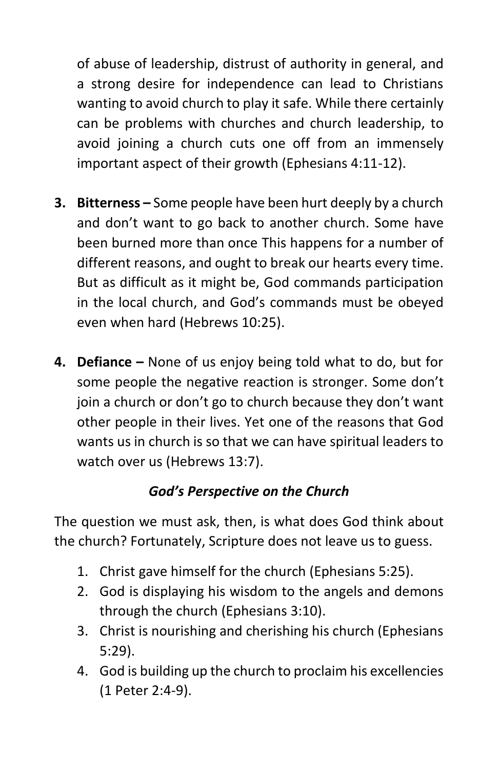of abuse of leadership, distrust of authority in general, and a strong desire for independence can lead to Christians wanting to avoid church to play it safe. While there certainly can be problems with churches and church leadership, to avoid joining a church cuts one off from an immensely important aspect of their growth (Ephesians 4:11-12).

- **3. Bitterness –** Some people have been hurt deeply by a church and don't want to go back to another church. Some have been burned more than once This happens for a number of different reasons, and ought to break our hearts every time. But as difficult as it might be, God commands participation in the local church, and God's commands must be obeyed even when hard (Hebrews 10:25).
- **4. Defiance –** None of us enjoy being told what to do, but for some people the negative reaction is stronger. Some don't join a church or don't go to church because they don't want other people in their lives. Yet one of the reasons that God wants us in church is so that we can have spiritual leaders to watch over us (Hebrews 13:7).

#### *God's Perspective on the Church*

The question we must ask, then, is what does God think about the church? Fortunately, Scripture does not leave us to guess.

- 1. Christ gave himself for the church (Ephesians 5:25).
- 2. God is displaying his wisdom to the angels and demons through the church (Ephesians 3:10).
- 3. Christ is nourishing and cherishing his church (Ephesians 5:29).
- 4. God is building up the church to proclaim his excellencies (1 Peter 2:4-9).